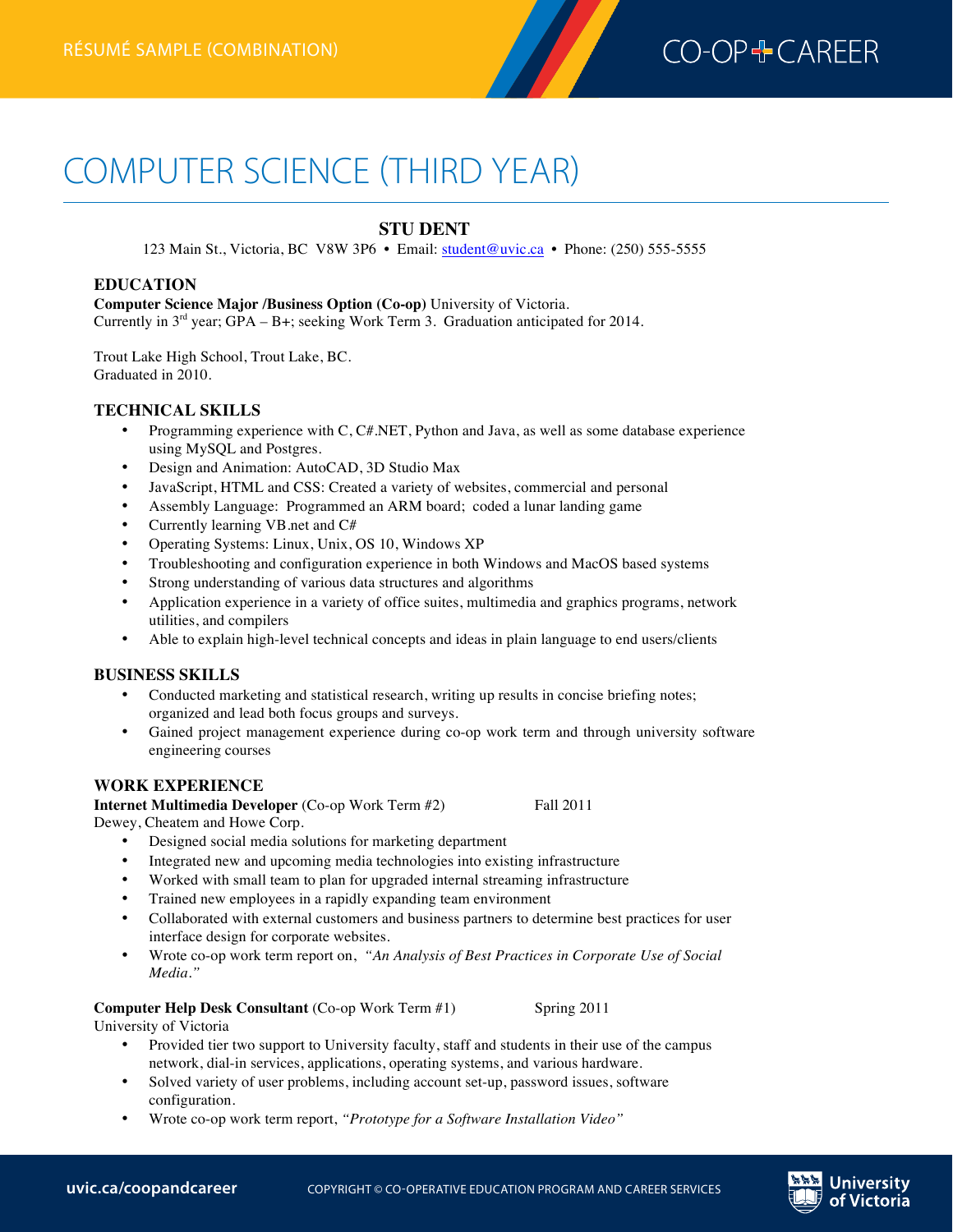

# COMPUTER SCIENCE (THIRD YEAR) **Computer Sciencerésumé (third year)—combination**

# **STU DENT**

123 Main St., Victoria, BC V8W 3P6 • Email: student@uvic.ca • Phone: (250) 555-5555

### **EDUCATION**

**Computer Science Major /Business Option (Co-op)** University of Victoria. Currently in  $3<sup>rd</sup>$  year; GPA – B+; seeking Work Term 3. Graduation anticipated for 2014.

Trout Lake High School, Trout Lake, BC. Graduated in 2010.

# **TECHNICAL SKILLS**

- Programming experience with C, C#.NET, Python and Java, as well as some database experience using MySQL and Postgres.
- Design and Animation: AutoCAD, 3D Studio Max
- JavaScript, HTML and CSS: Created a variety of websites, commercial and personal
- Assembly Language: Programmed an ARM board; coded a lunar landing game
- Currently learning VB.net and C#
- Operating Systems: Linux, Unix, OS 10, Windows XP
- Troubleshooting and configuration experience in both Windows and MacOS based systems
- Strong understanding of various data structures and algorithms
- Application experience in a variety of office suites, multimedia and graphics programs, network utilities, and compilers
- Able to explain high-level technical concepts and ideas in plain language to end users/clients

#### **BUSINESS SKILLS**

- Conducted marketing and statistical research, writing up results in concise briefing notes; organized and lead both focus groups and surveys.
- Gained project management experience during co-op work term and through university software engineering courses

#### **WORK EXPERIENCE** *Education:*

**Internet Multimedia Developer** (Co-op Work Term #2) Fall 2011

Dewey, Cheatem and Howe Corp.

- Designed social media solutions for marketing department
- Integrated new and upcoming media technologies into existing infrastructure
- Worked with small team to plan for upgraded internal streaming infrastructure
- Trained new employees in a rapidly expanding team environment
- Collaborated with external customers and business partners to determine best practices for user interface design for corporate websites.
- Wrote co-op work term report on, *"An Analysis of Best Practices in Corporate Use of Social Media."*

**Computer Help Desk Consultant** (Co-op Work Term #1) Spring 2011

University of Victoria

- Provided tier two support to University faculty, staff and students in their use of the campus network, dial-in services, applications, operating systems, and various hardware.
- Solved variety of user problems, including account set-up, password issues, software configuration.
- Wrote co-op work term report, *"Prototype for a Software Installation Video"*